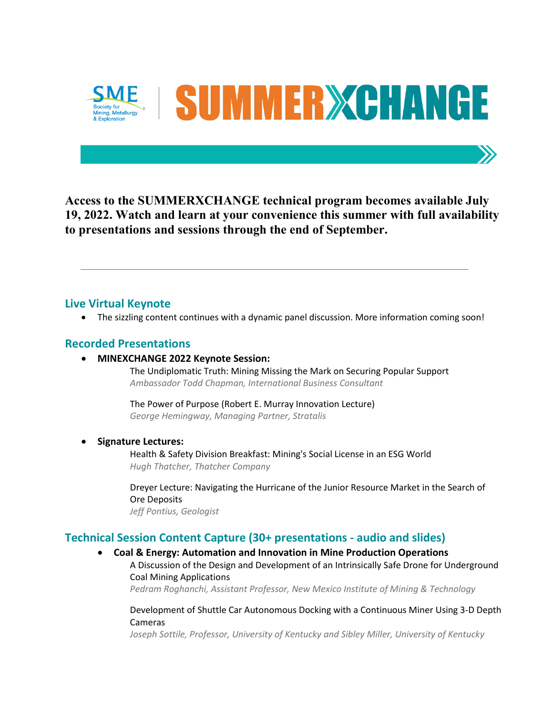

**Access to the SUMMERXCHANGE technical program becomes available July 19, 2022. Watch and learn at your convenience this summer with full availability to presentations and sessions through the end of September.**

# **Live Virtual Keynote**

• The sizzling content continues with a dynamic panel discussion. More information coming soon!

# **Recorded Presentations**

• **MINEXCHANGE 2022 Keynote Session:** 

The Undiplomatic Truth: Mining Missing the Mark on Securing Popular Support *Ambassador Todd Chapman, International Business Consultant*

The Power of Purpose (Robert E. Murray Innovation Lecture) *George Hemingway, Managing Partner, Stratalis*

## • **Signature Lectures:**

Health & Safety Division Breakfast: Mining's Social License in an ESG World *Hugh Thatcher, Thatcher Company*

Dreyer Lecture: Navigating the Hurricane of the Junior Resource Market in the Search of Ore Deposits *Jeff Pontius, Geologist*

# **Technical Session Content Capture (30+ presentations - audio and slides)**

- **Coal & Energy: Automation and Innovation in Mine Production Operations**
	- A Discussion of the Design and Development of an Intrinsically Safe Drone for Underground Coal Mining Applications

*Pedram Roghanchi, Assistant Professor, New Mexico Institute of Mining & Technology*

Development of Shuttle Car Autonomous Docking with a Continuous Miner Using 3-D Depth Cameras

*Joseph Sottile, Professor, University of Kentucky and Sibley Miller, University of Kentucky*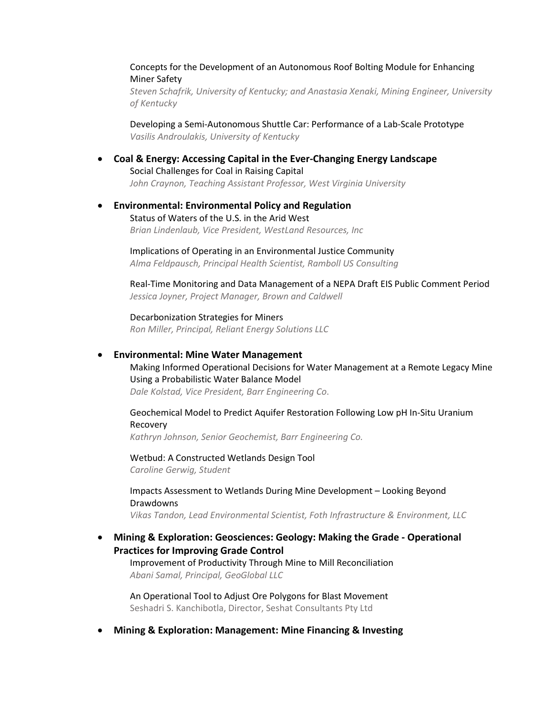## Concepts for the Development of an Autonomous Roof Bolting Module for Enhancing Miner Safety

*Steven Schafrik, University of Kentucky; and Anastasia Xenaki, Mining Engineer, University of Kentucky*

Developing a Semi-Autonomous Shuttle Car: Performance of a Lab-Scale Prototype *Vasilis Androulakis, University of Kentucky*

• **Coal & Energy: Accessing Capital in the Ever-Changing Energy Landscape** Social Challenges for Coal in Raising Capital *John Craynon, Teaching Assistant Professor, West Virginia University*

## • **Environmental: Environmental Policy and Regulation** Status of Waters of the U.S. in the Arid West *Brian Lindenlaub, Vice President, WestLand Resources, Inc*

Implications of Operating in an Environmental Justice Community *Alma Feldpausch, Principal Health Scientist, Ramboll US Consulting*

Real-Time Monitoring and Data Management of a NEPA Draft EIS Public Comment Period *Jessica Joyner, Project Manager, Brown and Caldwell*

Decarbonization Strategies for Miners *Ron Miller, Principal, Reliant Energy Solutions LLC*

#### • **Environmental: Mine Water Management**

Making Informed Operational Decisions for Water Management at a Remote Legacy Mine Using a Probabilistic Water Balance Model *Dale Kolstad, Vice President, Barr Engineering Co*.

## Geochemical Model to Predict Aquifer Restoration Following Low pH In-Situ Uranium Recovery

*Kathryn Johnson, Senior Geochemist, Barr Engineering Co.*

Wetbud: A Constructed Wetlands Design Tool *Caroline Gerwig, Student*

Impacts Assessment to Wetlands During Mine Development – Looking Beyond Drawdowns

*Vikas Tandon, Lead Environmental Scientist, Foth Infrastructure & Environment, LLC*

# • **Mining & Exploration: Geosciences: Geology: Making the Grade - Operational Practices for Improving Grade Control**

Improvement of Productivity Through Mine to Mill Reconciliation *Abani Samal, Principal, GeoGlobal LLC*

An Operational Tool to Adjust Ore Polygons for Blast Movement Seshadri S. Kanchibotla, Director, Seshat Consultants Pty Ltd

• **Mining & Exploration: Management: Mine Financing & Investing**